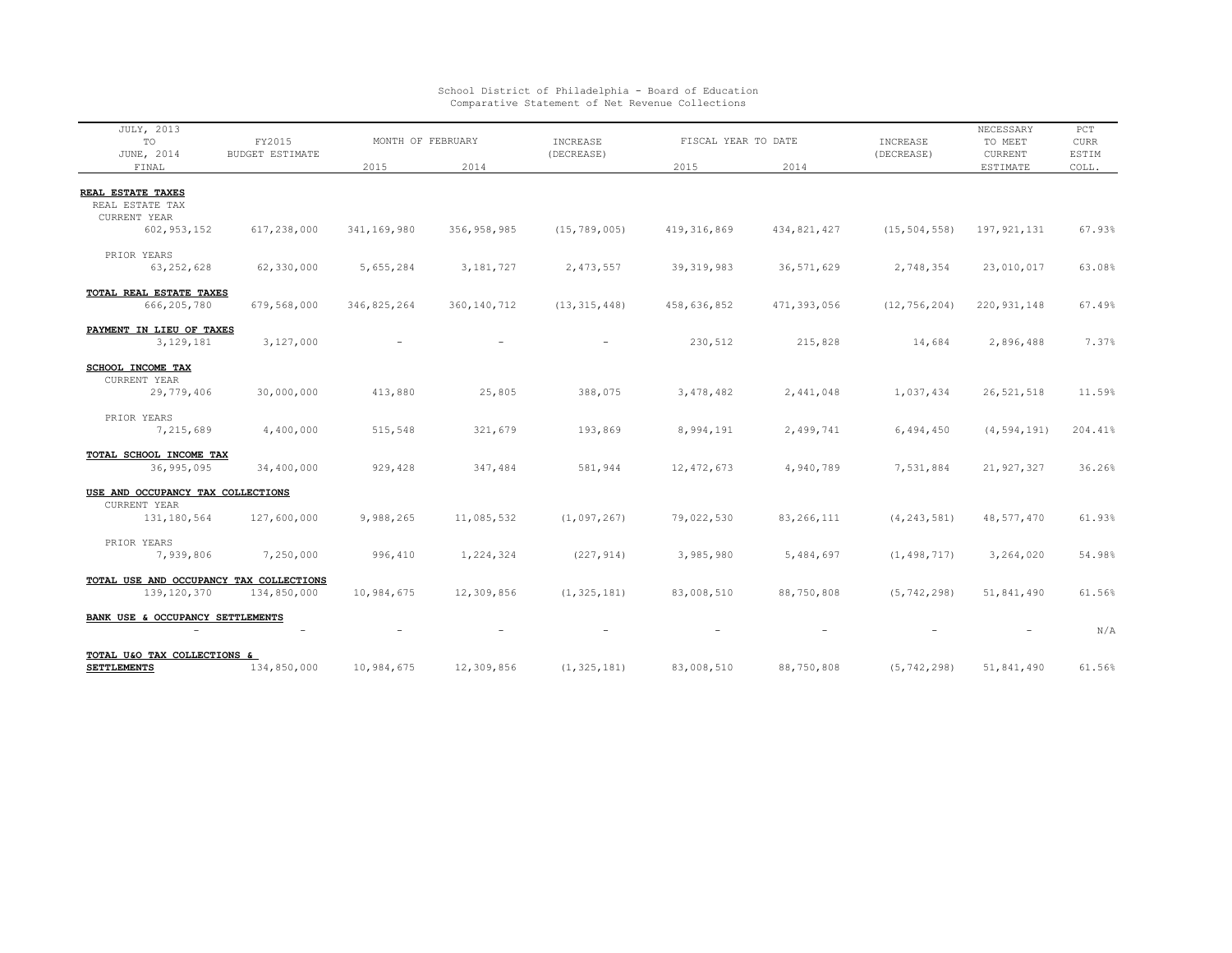| JULY, 2013<br>TO                                                      | FY2015<br><b>BUDGET ESTIMATE</b> | MONTH OF FEBRUARY |               | INCREASE       | FISCAL YEAR TO DATE |                          | INCREASE                 | NECESSARY<br>TO MEET | $_{\rm PCT}$<br><b>CURR</b> |
|-----------------------------------------------------------------------|----------------------------------|-------------------|---------------|----------------|---------------------|--------------------------|--------------------------|----------------------|-----------------------------|
| JUNE, 2014<br>FINAL                                                   |                                  | 2015              | 2014          | (DECREASE)     | 2015                | 2014                     | (DECREASE)               | CURRENT<br>ESTIMATE  | ESTIM<br>COLL.              |
|                                                                       |                                  |                   |               |                |                     |                          |                          |                      |                             |
| REAL ESTATE TAXES<br>REAL ESTATE TAX<br>CURRENT YEAR<br>602, 953, 152 | 617,238,000                      | 341,169,980       | 356, 958, 985 | (15, 789, 005) | 419, 316, 869       | 434,821,427              | (15, 504, 558)           | 197, 921, 131        | 67.93%                      |
|                                                                       |                                  |                   |               |                |                     |                          |                          |                      |                             |
| PRIOR YEARS<br>63, 252, 628                                           | 62,330,000                       | 5,655,284         | 3,181,727     | 2,473,557      | 39, 319, 983        | 36, 571, 629             | 2,748,354                | 23,010,017           | 63.08%                      |
| TOTAL REAL ESTATE TAXES<br>666,205,780                                | 679,568,000                      | 346,825,264       | 360, 140, 712 | (13, 315, 448) | 458,636,852         | 471,393,056              | (12, 756, 204)           | 220, 931, 148        | 67.49%                      |
|                                                                       |                                  |                   |               |                |                     |                          |                          |                      |                             |
| PAYMENT IN LIEU OF TAXES<br>3,129,181                                 | 3,127,000                        |                   |               |                | 230,512             | 215,828                  | 14,684                   | 2,896,488            | 7.37%                       |
| <b>SCHOOL INCOME TAX</b>                                              |                                  |                   |               |                |                     |                          |                          |                      |                             |
| CURRENT YEAR<br>29,779,406                                            | 30,000,000                       | 413,880           | 25,805        | 388,075        | 3,478,482           | 2,441,048                | 1,037,434                | 26, 521, 518         | 11.59%                      |
| PRIOR YEARS                                                           |                                  |                   |               |                |                     |                          |                          |                      |                             |
| 7,215,689                                                             | 4,400,000                        | 515,548           | 321,679       | 193,869        | 8,994,191           | 2,499,741                | 6,494,450                | (4, 594, 191)        | 204.41%                     |
| TOTAL SCHOOL INCOME TAX<br>36,995,095                                 | 34,400,000                       | 929,428           | 347,484       | 581,944        | 12, 472, 673        | 4,940,789                | 7,531,884                | 21, 927, 327         | 36.26%                      |
| USE AND OCCUPANCY TAX COLLECTIONS                                     |                                  |                   |               |                |                     |                          |                          |                      |                             |
| CURRENT YEAR<br>131,180,564                                           | 127,600,000                      | 9,988,265         | 11,085,532    | (1,097,267)    | 79,022,530          | 83, 266, 111             | (4, 243, 581)            | 48,577,470           | 61.93%                      |
| PRIOR YEARS<br>7,939,806                                              | 7,250,000                        | 996,410           | 1,224,324     | (227, 914)     | 3,985,980           | 5,484,697                | (1, 498, 717)            | 3,264,020            | 54.98%                      |
| TOTAL USE AND OCCUPANCY TAX COLLECTIONS                               |                                  |                   |               |                |                     |                          |                          |                      |                             |
| 139, 120, 370                                                         | 134,850,000                      | 10,984,675        | 12,309,856    | (1, 325, 181)  | 83,008,510          | 88,750,808               | (5, 742, 298)            | 51,841,490           | 61.56%                      |
| BANK USE & OCCUPANCY SETTLEMENTS                                      |                                  |                   |               |                |                     | $\overline{\phantom{a}}$ | $\overline{\phantom{a}}$ | $\qquad \qquad -$    | N/A                         |
| TOTAL U&O TAX COLLECTIONS &                                           |                                  |                   |               |                |                     |                          |                          |                      |                             |
| <b>SETTLEMENTS</b>                                                    | 134,850,000                      | 10,984,675        | 12,309,856    | (1, 325, 181)  | 83,008,510          | 88,750,808               | (5, 742, 298)            | 51,841,490           | 61.56%                      |

School District of Philadelphia - Board of Education Comparative Statement of Net Revenue Collections